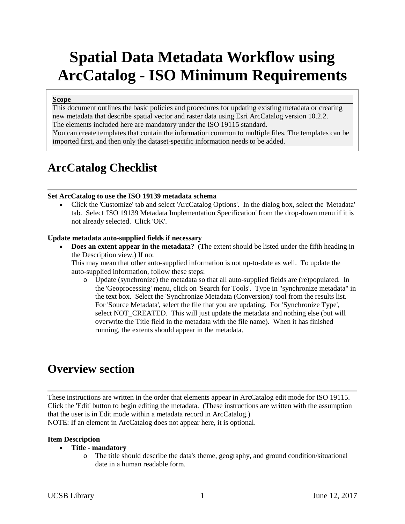# **Spatial Data Metadata Workflow using ArcCatalog - ISO Minimum Requirements**

### **Scope**

This document outlines the basic policies and procedures for updating existing metadata or creating new metadata that describe spatial vector and raster data using Esri ArcCatalog version 10.2.2. The elements included here are mandatory under the ISO 19115 standard.

You can create templates that contain the information common to multiple files. The templates can be imported first, and then only the dataset-specific information needs to be added.

# **ArcCatalog Checklist**

### **Set ArcCatalog to use the ISO 19139 metadata schema**

• Click the 'Customize' tab and select 'ArcCatalog Options'. In the dialog box, select the 'Metadata' tab. Select 'ISO 19139 Metadata Implementation Specification' from the drop-down menu if it is not already selected. Click 'OK'.

### **Update metadata auto-supplied fields if necessary**

• **Does an extent appear in the metadata?** (The extent should be listed under the fifth heading in the Description view.) If no:

This may mean that other auto-supplied information is not up-to-date as well. To update the auto-supplied information, follow these steps:

o Update (synchronize) the metadata so that all auto-supplied fields are (re)populated. In the 'Geoprocessing' menu, click on 'Search for Tools'. Type in "synchronize metadata" in the text box. Select the 'Synchronize Metadata (Conversion)' tool from the results list. For 'Source Metadata', select the file that you are updating. For 'Synchronize Type', select NOT\_CREATED. This will just update the metadata and nothing else (but will overwrite the Title field in the metadata with the file name). When it has finished running, the extents should appear in the metadata.

# **Overview section**

These instructions are written in the order that elements appear in ArcCatalog edit mode for ISO 19115. Click the 'Edit' button to begin editing the metadata. (These instructions are written with the assumption that the user is in Edit mode within a metadata record in ArcCatalog.)

NOTE: If an element in ArcCatalog does not appear here, it is optional.

#### **Item Description**

### • **Title - mandatory**

o The title should describe the data's theme, geography, and ground condition/situational date in a human readable form.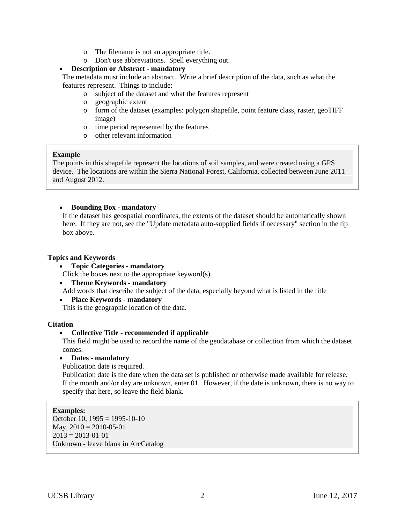- o The filename is not an appropriate title.
- o Don't use abbreviations. Spell everything out.

## • **Description or Abstract - mandatory**

The metadata must include an abstract. Write a brief description of the data, such as what the features represent. Things to include:

- o subject of the dataset and what the features represent
- o geographic extent
- o form of the dataset (examples: polygon shapefile, point feature class, raster, geoTIFF image)
- o time period represented by the features
- o other relevant information

### **Example**

The points in this shapefile represent the locations of soil samples, and were created using a GPS device. The locations are within the Sierra National Forest, California, collected between June 2011 and August 2012.

## • **Bounding Box - mandatory**

If the dataset has geospatial coordinates, the extents of the dataset should be automatically shown here. If they are not, see the "Update metadata auto-supplied fields if necessary" section in the tip box above.

## **Topics and Keywords**

• **Topic Categories - mandatory**

Click the boxes next to the appropriate keyword(s).

• **Theme Keywords - mandatory** 

Add words that describe the subject of the data, especially beyond what is listed in the title

• **Place Keywords - mandatory** 

This is the geographic location of the data.

# **Citation**

# • **Collective Title - recommended if applicable**

This field might be used to record the name of the geodatabase or collection from which the dataset comes.

• **Dates - mandatory**

Publication date is required.

Publication date is the date when the data set is published or otherwise made available for release. If the month and/or day are unknown, enter 01. However, if the date is unknown, there is no way to specify that here, so leave the field blank.

# **Examples:**

October 10,  $1995 = 1995 - 10 - 10$ May,  $2010 = 2010 - 05 - 01$  $2013 = 2013 - 01 - 01$ Unknown - leave blank in ArcCatalog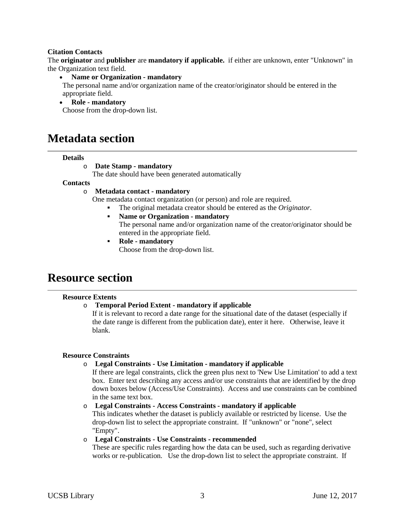### **Citation Contacts**

The **originator** and **publisher** are **mandatory if applicable.** if either are unknown, enter "Unknown" in the Organization text field.

### • **Name or Organization - mandatory**

The personal name and/or organization name of the creator/originator should be entered in the appropriate field.

### • **Role - mandatory**

Choose from the drop-down list.

# **Metadata section**

### **Details**

### o **Date Stamp - mandatory**

The date should have been generated automatically

### **Contacts**

### o **Metadata contact - mandatory**

One metadata contact organization (or person) and role are required.

- The original metadata creator should be entered as the *Originator*.
- **Name or Organization - mandatory** The personal name and/or organization name of the creator/originator should be entered in the appropriate field.
- **Role - mandatory** Choose from the drop-down list.

# **Resource section**

### **Resource Extents**

### o **Temporal Period Extent - mandatory if applicable**

If it is relevant to record a date range for the situational date of the dataset (especially if the date range is different from the publication date), enter it here. Otherwise, leave it blank.

### **Resource Constraints**

### o **Legal Constraints - Use Limitation - mandatory if applicable**

If there are legal constraints, click the green plus next to 'New Use Limitation' to add a text box. Enter text describing any access and/or use constraints that are identified by the drop down boxes below (Access/Use Constraints). Access and use constraints can be combined in the same text box.

### o **Legal Constraints - Access Constraints - mandatory if applicable**

This indicates whether the dataset is publicly available or restricted by license. Use the drop-down list to select the appropriate constraint. If "unknown" or "none", select "Empty".

### o **Legal Constraints - Use Constraints - recommended**

These are specific rules regarding how the data can be used, such as regarding derivative works or re-publication. Use the drop-down list to select the appropriate constraint. If